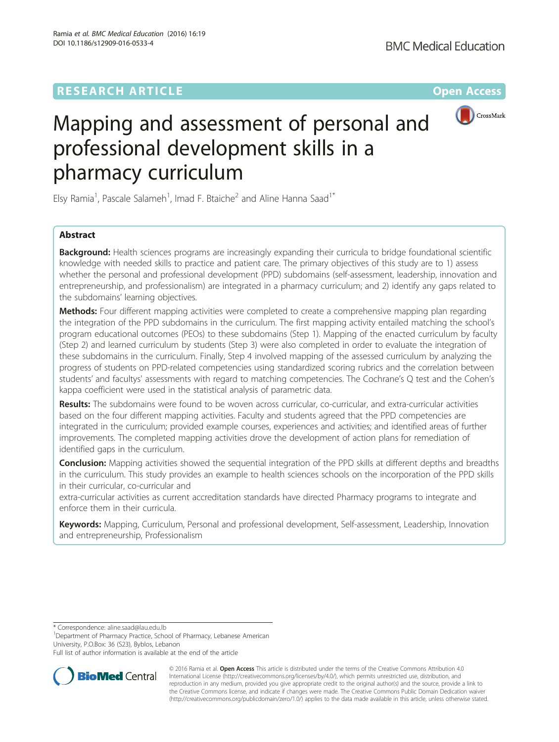

# Mapping and assessment of personal and professional development skills in a pharmacy curriculum

Elsy Ramia<sup>1</sup>, Pascale Salameh<sup>1</sup>, Imad F. Btaiche<sup>2</sup> and Aline Hanna Saad<sup>1\*</sup>

# Abstract

**Background:** Health sciences programs are increasingly expanding their curricula to bridge foundational scientific knowledge with needed skills to practice and patient care. The primary objectives of this study are to 1) assess whether the personal and professional development (PPD) subdomains (self-assessment, leadership, innovation and entrepreneurship, and professionalism) are integrated in a pharmacy curriculum; and 2) identify any gaps related to the subdomains' learning objectives.

**Methods:** Four different mapping activities were completed to create a comprehensive mapping plan regarding the integration of the PPD subdomains in the curriculum. The first mapping activity entailed matching the school's program educational outcomes (PEOs) to these subdomains (Step 1). Mapping of the enacted curriculum by faculty (Step 2) and learned curriculum by students (Step 3) were also completed in order to evaluate the integration of these subdomains in the curriculum. Finally, Step 4 involved mapping of the assessed curriculum by analyzing the progress of students on PPD-related competencies using standardized scoring rubrics and the correlation between students' and facultys' assessments with regard to matching competencies. The Cochrane's Q test and the Cohen's kappa coefficient were used in the statistical analysis of parametric data.

Results: The subdomains were found to be woven across curricular, co-curricular, and extra-curricular activities based on the four different mapping activities. Faculty and students agreed that the PPD competencies are integrated in the curriculum; provided example courses, experiences and activities; and identified areas of further improvements. The completed mapping activities drove the development of action plans for remediation of identified gaps in the curriculum.

**Conclusion:** Mapping activities showed the sequential integration of the PPD skills at different depths and breadths in the curriculum. This study provides an example to health sciences schools on the incorporation of the PPD skills in their curricular, co-curricular and

extra-curricular activities as current accreditation standards have directed Pharmacy programs to integrate and enforce them in their curricula.

Keywords: Mapping, Curriculum, Personal and professional development, Self-assessment, Leadership, Innovation and entrepreneurship, Professionalism

\* Correspondence: [aline.saad@lau.edu.lb](mailto:aline.saad@lau.edu.lb) <sup>1</sup>

<sup>1</sup>Department of Pharmacy Practice, School of Pharmacy, Lebanese American University, P.O.Box: 36 (S23), Byblos, Lebanon

Full list of author information is available at the end of the article



© 2016 Ramia et al. Open Access This article is distributed under the terms of the Creative Commons Attribution 4.0 International License [\(http://creativecommons.org/licenses/by/4.0/](http://creativecommons.org/licenses/by/4.0/)), which permits unrestricted use, distribution, and reproduction in any medium, provided you give appropriate credit to the original author(s) and the source, provide a link to the Creative Commons license, and indicate if changes were made. The Creative Commons Public Domain Dedication waiver [\(http://creativecommons.org/publicdomain/zero/1.0/](http://creativecommons.org/publicdomain/zero/1.0/)) applies to the data made available in this article, unless otherwise stated.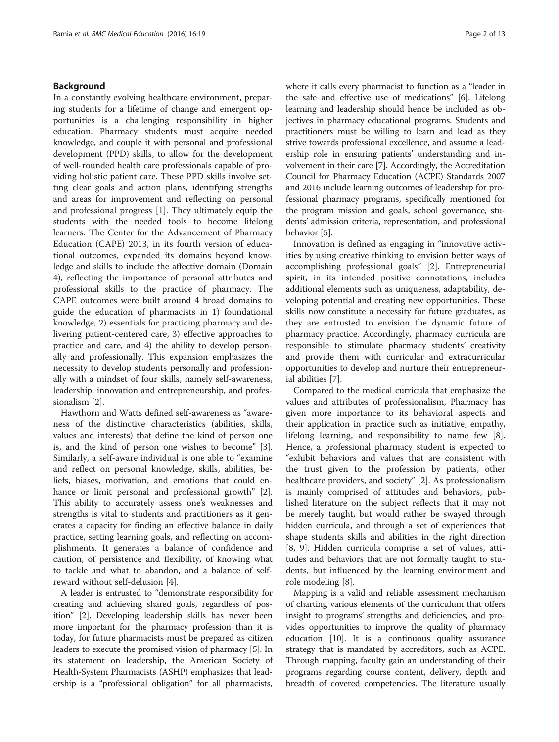# Background

In a constantly evolving healthcare environment, preparing students for a lifetime of change and emergent opportunities is a challenging responsibility in higher education. Pharmacy students must acquire needed knowledge, and couple it with personal and professional development (PPD) skills, to allow for the development of well-rounded health care professionals capable of providing holistic patient care. These PPD skills involve setting clear goals and action plans, identifying strengths and areas for improvement and reflecting on personal and professional progress [[1\]](#page-12-0). They ultimately equip the students with the needed tools to become lifelong learners. The Center for the Advancement of Pharmacy Education (CAPE) 2013, in its fourth version of educational outcomes, expanded its domains beyond knowledge and skills to include the affective domain (Domain 4), reflecting the importance of personal attributes and professional skills to the practice of pharmacy. The CAPE outcomes were built around 4 broad domains to guide the education of pharmacists in 1) foundational knowledge, 2) essentials for practicing pharmacy and delivering patient-centered care, 3) effective approaches to practice and care, and 4) the ability to develop personally and professionally. This expansion emphasizes the necessity to develop students personally and professionally with a mindset of four skills, namely self-awareness, leadership, innovation and entrepreneurship, and professionalism [\[2](#page-12-0)].

Hawthorn and Watts defined self-awareness as "awareness of the distinctive characteristics (abilities, skills, values and interests) that define the kind of person one is, and the kind of person one wishes to become" [\[3](#page-12-0)]. Similarly, a self-aware individual is one able to "examine and reflect on personal knowledge, skills, abilities, beliefs, biases, motivation, and emotions that could en-hance or limit personal and professional growth" [\[2](#page-12-0)]. This ability to accurately assess one's weaknesses and strengths is vital to students and practitioners as it generates a capacity for finding an effective balance in daily practice, setting learning goals, and reflecting on accomplishments. It generates a balance of confidence and caution, of persistence and flexibility, of knowing what to tackle and what to abandon, and a balance of selfreward without self-delusion [\[4\]](#page-12-0).

A leader is entrusted to "demonstrate responsibility for creating and achieving shared goals, regardless of position" [\[2](#page-12-0)]. Developing leadership skills has never been more important for the pharmacy profession than it is today, for future pharmacists must be prepared as citizen leaders to execute the promised vision of pharmacy [\[5](#page-12-0)]. In its statement on leadership, the American Society of Health-System Pharmacists (ASHP) emphasizes that leadership is a "professional obligation" for all pharmacists, where it calls every pharmacist to function as a "leader in the safe and effective use of medications" [\[6\]](#page-12-0). Lifelong learning and leadership should hence be included as objectives in pharmacy educational programs. Students and practitioners must be willing to learn and lead as they strive towards professional excellence, and assume a leadership role in ensuring patients' understanding and involvement in their care [\[7](#page-12-0)]. Accordingly, the Accreditation Council for Pharmacy Education (ACPE) Standards 2007 and 2016 include learning outcomes of leadership for professional pharmacy programs, specifically mentioned for the program mission and goals, school governance, students' admission criteria, representation, and professional behavior [[5\]](#page-12-0).

Innovation is defined as engaging in "innovative activities by using creative thinking to envision better ways of accomplishing professional goals" [\[2](#page-12-0)]. Entrepreneurial spirit, in its intended positive connotations, includes additional elements such as uniqueness, adaptability, developing potential and creating new opportunities. These skills now constitute a necessity for future graduates, as they are entrusted to envision the dynamic future of pharmacy practice. Accordingly, pharmacy curricula are responsible to stimulate pharmacy students' creativity and provide them with curricular and extracurricular opportunities to develop and nurture their entrepreneurial abilities [\[7](#page-12-0)].

Compared to the medical curricula that emphasize the values and attributes of professionalism, Pharmacy has given more importance to its behavioral aspects and their application in practice such as initiative, empathy, lifelong learning, and responsibility to name few [\[8](#page-12-0)]. Hence, a professional pharmacy student is expected to "exhibit behaviors and values that are consistent with the trust given to the profession by patients, other healthcare providers, and society" [\[2](#page-12-0)]. As professionalism is mainly comprised of attitudes and behaviors, published literature on the subject reflects that it may not be merely taught, but would rather be swayed through hidden curricula, and through a set of experiences that shape students skills and abilities in the right direction [[8, 9](#page-12-0)]. Hidden curricula comprise a set of values, attitudes and behaviors that are not formally taught to students, but influenced by the learning environment and role modeling [[8\]](#page-12-0).

Mapping is a valid and reliable assessment mechanism of charting various elements of the curriculum that offers insight to programs' strengths and deficiencies, and provides opportunities to improve the quality of pharmacy education [\[10\]](#page-12-0). It is a continuous quality assurance strategy that is mandated by accreditors, such as ACPE. Through mapping, faculty gain an understanding of their programs regarding course content, delivery, depth and breadth of covered competencies. The literature usually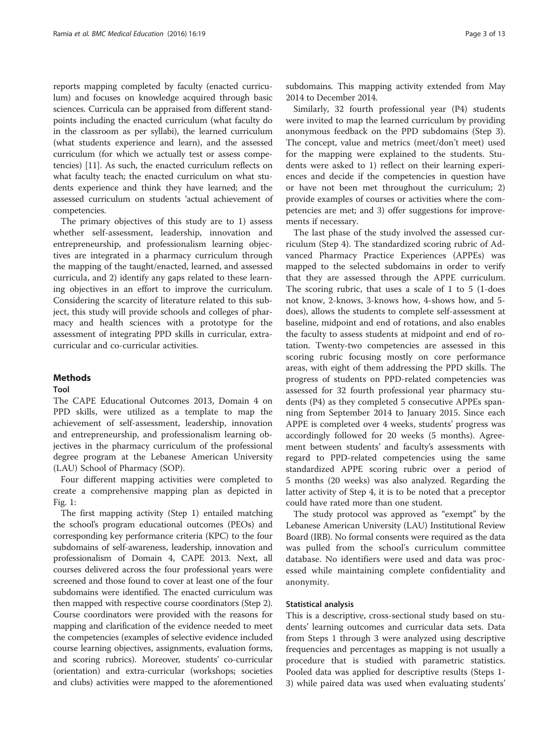reports mapping completed by faculty (enacted curriculum) and focuses on knowledge acquired through basic sciences. Curricula can be appraised from different standpoints including the enacted curriculum (what faculty do in the classroom as per syllabi), the learned curriculum (what students experience and learn), and the assessed curriculum (for which we actually test or assess competencies) [[11](#page-12-0)]. As such, the enacted curriculum reflects on what faculty teach; the enacted curriculum on what students experience and think they have learned; and the assessed curriculum on students 'actual achievement of competencies.

The primary objectives of this study are to 1) assess whether self-assessment, leadership, innovation and entrepreneurship, and professionalism learning objectives are integrated in a pharmacy curriculum through the mapping of the taught/enacted, learned, and assessed curricula, and 2) identify any gaps related to these learning objectives in an effort to improve the curriculum. Considering the scarcity of literature related to this subject, this study will provide schools and colleges of pharmacy and health sciences with a prototype for the assessment of integrating PPD skills in curricular, extracurricular and co-curricular activities.

## Methods

### Tool

The CAPE Educational Outcomes 2013, Domain 4 on PPD skills, were utilized as a template to map the achievement of self-assessment, leadership, innovation and entrepreneurship, and professionalism learning objectives in the pharmacy curriculum of the professional degree program at the Lebanese American University (LAU) School of Pharmacy (SOP).

Four different mapping activities were completed to create a comprehensive mapping plan as depicted in Fig. [1](#page-3-0):

The first mapping activity (Step 1) entailed matching the school's program educational outcomes (PEOs) and corresponding key performance criteria (KPC) to the four subdomains of self-awareness, leadership, innovation and professionalism of Domain 4, CAPE 2013. Next, all courses delivered across the four professional years were screened and those found to cover at least one of the four subdomains were identified. The enacted curriculum was then mapped with respective course coordinators (Step 2). Course coordinators were provided with the reasons for mapping and clarification of the evidence needed to meet the competencies (examples of selective evidence included course learning objectives, assignments, evaluation forms, and scoring rubrics). Moreover, students' co-curricular (orientation) and extra-curricular (workshops; societies and clubs) activities were mapped to the aforementioned subdomains. This mapping activity extended from May 2014 to December 2014.

Similarly, 32 fourth professional year (P4) students were invited to map the learned curriculum by providing anonymous feedback on the PPD subdomains (Step 3). The concept, value and metrics (meet/don't meet) used for the mapping were explained to the students. Students were asked to 1) reflect on their learning experiences and decide if the competencies in question have or have not been met throughout the curriculum; 2) provide examples of courses or activities where the competencies are met; and 3) offer suggestions for improvements if necessary.

The last phase of the study involved the assessed curriculum (Step 4). The standardized scoring rubric of Advanced Pharmacy Practice Experiences (APPEs) was mapped to the selected subdomains in order to verify that they are assessed through the APPE curriculum. The scoring rubric, that uses a scale of 1 to 5 (1-does not know, 2-knows, 3-knows how, 4-shows how, and 5 does), allows the students to complete self-assessment at baseline, midpoint and end of rotations, and also enables the faculty to assess students at midpoint and end of rotation. Twenty-two competencies are assessed in this scoring rubric focusing mostly on core performance areas, with eight of them addressing the PPD skills. The progress of students on PPD-related competencies was assessed for 32 fourth professional year pharmacy students (P4) as they completed 5 consecutive APPEs spanning from September 2014 to January 2015. Since each APPE is completed over 4 weeks, students' progress was accordingly followed for 20 weeks (5 months). Agreement between students' and faculty's assessments with regard to PPD-related competencies using the same standardized APPE scoring rubric over a period of 5 months (20 weeks) was also analyzed. Regarding the latter activity of Step 4, it is to be noted that a preceptor could have rated more than one student.

The study protocol was approved as "exempt" by the Lebanese American University (LAU) Institutional Review Board (IRB). No formal consents were required as the data was pulled from the school's curriculum committee database. No identifiers were used and data was processed while maintaining complete confidentiality and anonymity.

## Statistical analysis

This is a descriptive, cross-sectional study based on students' learning outcomes and curricular data sets. Data from Steps 1 through 3 were analyzed using descriptive frequencies and percentages as mapping is not usually a procedure that is studied with parametric statistics. Pooled data was applied for descriptive results (Steps 1- 3) while paired data was used when evaluating students'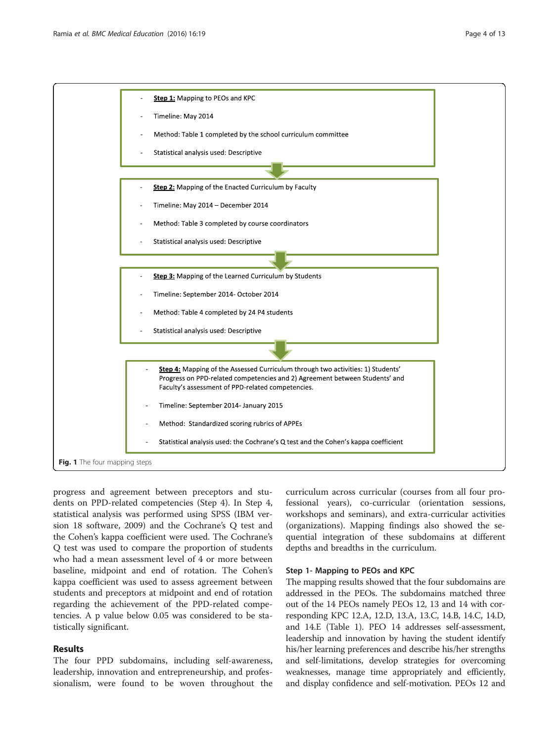<span id="page-3-0"></span>

progress and agreement between preceptors and students on PPD-related competencies (Step 4). In Step 4, statistical analysis was performed using SPSS (IBM version 18 software, 2009) and the Cochrane's Q test and the Cohen's kappa coefficient were used. The Cochrane's Q test was used to compare the proportion of students who had a mean assessment level of 4 or more between baseline, midpoint and end of rotation. The Cohen's kappa coefficient was used to assess agreement between students and preceptors at midpoint and end of rotation regarding the achievement of the PPD-related competencies. A p value below 0.05 was considered to be statistically significant.

# Results

The four PPD subdomains, including self-awareness, leadership, innovation and entrepreneurship, and professionalism, were found to be woven throughout the

curriculum across curricular (courses from all four professional years), co-curricular (orientation sessions, workshops and seminars), and extra-curricular activities (organizations). Mapping findings also showed the sequential integration of these subdomains at different depths and breadths in the curriculum.

### Step 1- Mapping to PEOs and KPC

The mapping results showed that the four subdomains are addressed in the PEOs. The subdomains matched three out of the 14 PEOs namely PEOs 12, 13 and 14 with corresponding KPC 12.A, 12.D, 13.A, 13.C, 14.B, 14.C, 14.D, and 14.E (Table [1\)](#page-4-0). PEO 14 addresses self-assessment, leadership and innovation by having the student identify his/her learning preferences and describe his/her strengths and self-limitations, develop strategies for overcoming weaknesses, manage time appropriately and efficiently, and display confidence and self-motivation. PEOs 12 and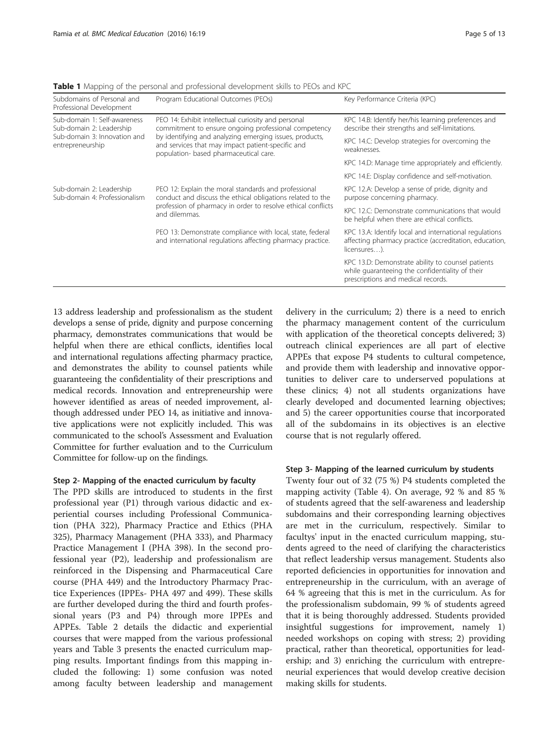| Subdomains of Personal and<br>Professional Development    | Program Educational Outcomes (PEOs)                                                                                                                    | Key Performance Criteria (KPC)                                                                                                             |  |  |
|-----------------------------------------------------------|--------------------------------------------------------------------------------------------------------------------------------------------------------|--------------------------------------------------------------------------------------------------------------------------------------------|--|--|
| Sub-domain 1: Self-awareness<br>Sub-domain 2: Leadership  | PEO 14: Exhibit intellectual curiosity and personal<br>commitment to ensure ongoing professional competency                                            | KPC 14.B: Identify her/his learning preferences and<br>describe their strengths and self-limitations.                                      |  |  |
| Sub-domain 3: Innovation and<br>entrepreneurship          | by identifying and analyzing emerging issues, products,<br>and services that may impact patient-specific and<br>population- based pharmaceutical care. | KPC 14.C: Develop strategies for overcoming the<br>weaknesses.                                                                             |  |  |
|                                                           |                                                                                                                                                        | KPC 14.D: Manage time appropriately and efficiently.                                                                                       |  |  |
|                                                           |                                                                                                                                                        | KPC 14.E: Display confidence and self-motivation.                                                                                          |  |  |
| Sub-domain 2: Leadership<br>Sub-domain 4: Professionalism | PEO 12: Explain the moral standards and professional<br>conduct and discuss the ethical obligations related to the                                     | KPC 12.A: Develop a sense of pride, dignity and<br>purpose concerning pharmacy.                                                            |  |  |
|                                                           | profession of pharmacy in order to resolve ethical conflicts<br>and dilemmas.                                                                          | KPC 12.C: Demonstrate communications that would<br>be helpful when there are ethical conflicts.                                            |  |  |
|                                                           | PEO 13: Demonstrate compliance with local, state, federal<br>and international regulations affecting pharmacy practice.                                | KPC 13.A: Identify local and international regulations<br>affecting pharmacy practice (accreditation, education,<br>licensures).           |  |  |
|                                                           |                                                                                                                                                        | KPC 13.D: Demonstrate ability to counsel patients<br>while quaranteeing the confidentiality of their<br>prescriptions and medical records. |  |  |

<span id="page-4-0"></span>Table 1 Mapping of the personal and professional development skills to PEOs and KPC

13 address leadership and professionalism as the student develops a sense of pride, dignity and purpose concerning pharmacy, demonstrates communications that would be helpful when there are ethical conflicts, identifies local and international regulations affecting pharmacy practice, and demonstrates the ability to counsel patients while guaranteeing the confidentiality of their prescriptions and medical records. Innovation and entrepreneurship were however identified as areas of needed improvement, although addressed under PEO 14, as initiative and innovative applications were not explicitly included. This was communicated to the school's Assessment and Evaluation Committee for further evaluation and to the Curriculum Committee for follow-up on the findings.

### Step 2- Mapping of the enacted curriculum by faculty

The PPD skills are introduced to students in the first professional year (P1) through various didactic and experiential courses including Professional Communication (PHA 322), Pharmacy Practice and Ethics (PHA 325), Pharmacy Management (PHA 333), and Pharmacy Practice Management I (PHA 398). In the second professional year (P2), leadership and professionalism are reinforced in the Dispensing and Pharmaceutical Care course (PHA 449) and the Introductory Pharmacy Practice Experiences (IPPEs- PHA 497 and 499). These skills are further developed during the third and fourth professional years (P3 and P4) through more IPPEs and APPEs. Table [2](#page-5-0) details the didactic and experiential courses that were mapped from the various professional years and Table [3](#page-6-0) presents the enacted curriculum mapping results. Important findings from this mapping included the following: 1) some confusion was noted among faculty between leadership and management delivery in the curriculum; 2) there is a need to enrich the pharmacy management content of the curriculum with application of the theoretical concepts delivered; 3) outreach clinical experiences are all part of elective APPEs that expose P4 students to cultural competence, and provide them with leadership and innovative opportunities to deliver care to underserved populations at these clinics; 4) not all students organizations have clearly developed and documented learning objectives; and 5) the career opportunities course that incorporated all of the subdomains in its objectives is an elective course that is not regularly offered.

### Step 3- Mapping of the learned curriculum by students

Twenty four out of 32 (75 %) P4 students completed the mapping activity (Table [4\)](#page-8-0). On average, 92 % and 85 % of students agreed that the self-awareness and leadership subdomains and their corresponding learning objectives are met in the curriculum, respectively. Similar to facultys' input in the enacted curriculum mapping, students agreed to the need of clarifying the characteristics that reflect leadership versus management. Students also reported deficiencies in opportunities for innovation and entrepreneurship in the curriculum, with an average of 64 % agreeing that this is met in the curriculum. As for the professionalism subdomain, 99 % of students agreed that it is being thoroughly addressed. Students provided insightful suggestions for improvement, namely 1) needed workshops on coping with stress; 2) providing practical, rather than theoretical, opportunities for leadership; and 3) enriching the curriculum with entrepreneurial experiences that would develop creative decision making skills for students.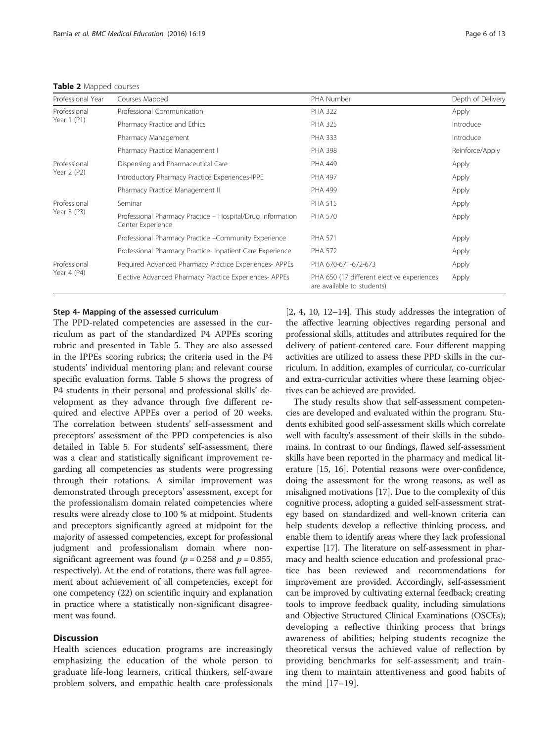| Page 6 of |  |
|-----------|--|
|-----------|--|

<span id="page-5-0"></span>

| Professional Year             | Courses Mapped                                                                  | PHA Number                                                               | Depth of Delivery |
|-------------------------------|---------------------------------------------------------------------------------|--------------------------------------------------------------------------|-------------------|
| Professional                  | Professional Communication                                                      | <b>PHA 322</b>                                                           | Apply             |
| Year $1$ (P1)                 | Pharmacy Practice and Ethics                                                    | <b>PHA 325</b>                                                           | Introduce         |
|                               | Pharmacy Management                                                             | <b>PHA 333</b>                                                           | Introduce         |
|                               | Pharmacy Practice Management I                                                  | <b>PHA 398</b>                                                           | Reinforce/Apply   |
| Professional                  | Dispensing and Pharmaceutical Care                                              | <b>PHA 449</b>                                                           | Apply             |
| Year 2 (P2)                   | Introductory Pharmacy Practice Experiences-IPPE                                 | <b>PHA 497</b>                                                           | Apply             |
|                               | Pharmacy Practice Management II                                                 | <b>PHA 499</b>                                                           | Apply             |
| Professional<br>Year $3$ (P3) | Seminar                                                                         | <b>PHA 515</b>                                                           | Apply             |
|                               | Professional Pharmacy Practice - Hospital/Drug Information<br>Center Experience | <b>PHA 570</b>                                                           | Apply             |
|                               | Professional Pharmacy Practice -Community Experience                            | <b>PHA 571</b>                                                           | Apply             |
|                               | Professional Pharmacy Practice-Inpatient Care Experience                        | <b>PHA 572</b>                                                           | Apply             |
| Professional                  | Required Advanced Pharmacy Practice Experiences- APPEs                          | PHA 670-671-672-673                                                      | Apply             |
| Year 4 (P4)                   | Elective Advanced Pharmacy Practice Experiences- APPEs                          | PHA 650 (17 different elective experiences<br>are available to students) | Apply             |

### Step 4- Mapping of the assessed curriculum

The PPD-related competencies are assessed in the curriculum as part of the standardized P4 APPEs scoring rubric and presented in Table [5](#page-10-0). They are also assessed in the IPPEs scoring rubrics; the criteria used in the P4 students' individual mentoring plan; and relevant course specific evaluation forms. Table [5](#page-10-0) shows the progress of P4 students in their personal and professional skills' development as they advance through five different required and elective APPEs over a period of 20 weeks. The correlation between students' self-assessment and preceptors' assessment of the PPD competencies is also detailed in Table [5](#page-10-0). For students' self-assessment, there was a clear and statistically significant improvement regarding all competencies as students were progressing through their rotations. A similar improvement was demonstrated through preceptors' assessment, except for the professionalism domain related competencies where results were already close to 100 % at midpoint. Students and preceptors significantly agreed at midpoint for the majority of assessed competencies, except for professional judgment and professionalism domain where nonsignificant agreement was found ( $p = 0.258$  and  $p = 0.855$ , respectively). At the end of rotations, there was full agreement about achievement of all competencies, except for one competency (22) on scientific inquiry and explanation in practice where a statistically non-significant disagreement was found.

# **Discussion**

Health sciences education programs are increasingly emphasizing the education of the whole person to graduate life-long learners, critical thinkers, self-aware problem solvers, and empathic health care professionals [[2, 4](#page-12-0), [10, 12](#page-12-0)–[14\]](#page-12-0). This study addresses the integration of the affective learning objectives regarding personal and professional skills, attitudes and attributes required for the delivery of patient-centered care. Four different mapping activities are utilized to assess these PPD skills in the curriculum. In addition, examples of curricular, co-curricular and extra-curricular activities where these learning objectives can be achieved are provided.

The study results show that self-assessment competencies are developed and evaluated within the program. Students exhibited good self-assessment skills which correlate well with faculty's assessment of their skills in the subdomains. In contrast to our findings, flawed self-assessment skills have been reported in the pharmacy and medical literature [\[15](#page-12-0), [16](#page-12-0)]. Potential reasons were over-confidence, doing the assessment for the wrong reasons, as well as misaligned motivations [\[17\]](#page-12-0). Due to the complexity of this cognitive process, adopting a guided self-assessment strategy based on standardized and well-known criteria can help students develop a reflective thinking process, and enable them to identify areas where they lack professional expertise [\[17\]](#page-12-0). The literature on self-assessment in pharmacy and health science education and professional practice has been reviewed and recommendations for improvement are provided. Accordingly, self-assessment can be improved by cultivating external feedback; creating tools to improve feedback quality, including simulations and Objective Structured Clinical Examinations (OSCEs); developing a reflective thinking process that brings awareness of abilities; helping students recognize the theoretical versus the achieved value of reflection by providing benchmarks for self-assessment; and training them to maintain attentiveness and good habits of the mind [[17](#page-12-0)–[19\]](#page-12-0).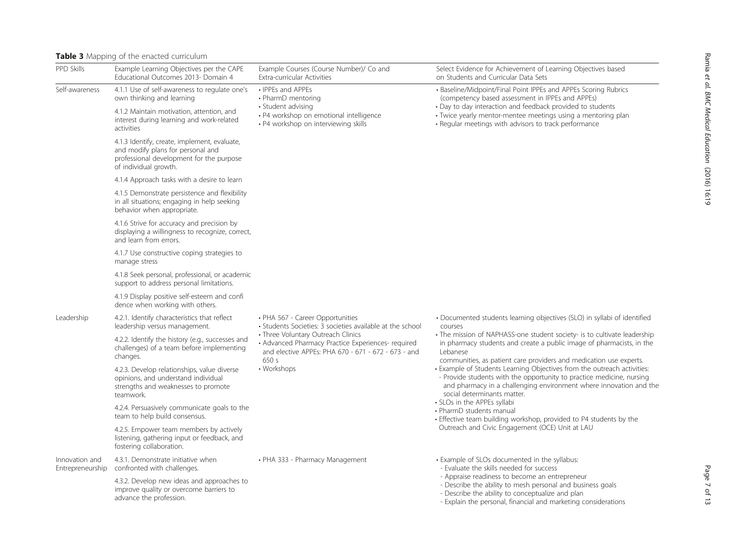# <span id="page-6-0"></span>Table 3 Mapping of the enacted curriculum

| PPD Skills                         | Example Learning Objectives per the CAPE<br>Educational Outcomes 2013- Domain 4                                                                        | Example Courses (Course Number)/ Co and<br>Extra-curricular Activities                                                                                   | Select Evidence for Achievement of Learning Objectives based<br>on Students and Curricular Data Sets                                                                                                                                                                                                                            |  |  |  |
|------------------------------------|--------------------------------------------------------------------------------------------------------------------------------------------------------|----------------------------------------------------------------------------------------------------------------------------------------------------------|---------------------------------------------------------------------------------------------------------------------------------------------------------------------------------------------------------------------------------------------------------------------------------------------------------------------------------|--|--|--|
| Self-awareness                     | 4.1.1 Use of self-awareness to regulate one's<br>own thinking and learning                                                                             | • IPPEs and APPEs<br>• PharmD mentoring                                                                                                                  | • Baseline/Midpoint/Final Point IPPEs and APPEs Scoring Rubrics<br>(competency based assessment in IPPEs and APPEs)<br>• Day to day interaction and feedback provided to students<br>• Twice yearly mentor-mentee meetings using a mentoring plan<br>• Regular meetings with advisors to track performance                      |  |  |  |
|                                    | 4.1.2 Maintain motivation, attention, and<br>interest during learning and work-related<br>activities                                                   | • Student advising<br>• P4 workshop on emotional intelligence<br>• P4 workshop on interviewing skills                                                    |                                                                                                                                                                                                                                                                                                                                 |  |  |  |
|                                    | 4.1.3 Identify, create, implement, evaluate,<br>and modify plans for personal and<br>professional development for the purpose<br>of individual growth. |                                                                                                                                                          |                                                                                                                                                                                                                                                                                                                                 |  |  |  |
|                                    | 4.1.4 Approach tasks with a desire to learn                                                                                                            |                                                                                                                                                          |                                                                                                                                                                                                                                                                                                                                 |  |  |  |
|                                    | 4.1.5 Demonstrate persistence and flexibility<br>in all situations; engaging in help seeking<br>behavior when appropriate.                             |                                                                                                                                                          |                                                                                                                                                                                                                                                                                                                                 |  |  |  |
|                                    | 4.1.6 Strive for accuracy and precision by<br>displaying a willingness to recognize, correct,<br>and learn from errors.                                |                                                                                                                                                          |                                                                                                                                                                                                                                                                                                                                 |  |  |  |
|                                    | 4.1.7 Use constructive coping strategies to<br>manage stress                                                                                           |                                                                                                                                                          |                                                                                                                                                                                                                                                                                                                                 |  |  |  |
|                                    | 4.1.8 Seek personal, professional, or academic<br>support to address personal limitations.                                                             |                                                                                                                                                          |                                                                                                                                                                                                                                                                                                                                 |  |  |  |
|                                    | 4.1.9 Display positive self-esteem and confi<br>dence when working with others.                                                                        |                                                                                                                                                          |                                                                                                                                                                                                                                                                                                                                 |  |  |  |
| Leadership                         | 4.2.1. Identify characteristics that reflect<br>leadership versus management.                                                                          | • PHA 567 - Career Opportunities<br>• Students Societies: 3 societies available at the school                                                            | • Documented students learning objectives (SLO) in syllabi of identified<br>courses                                                                                                                                                                                                                                             |  |  |  |
|                                    | 4.2.2. Identify the history (e.g., successes and<br>challenges) of a team before implementing<br>changes.                                              | • Three Voluntary Outreach Clinics<br>· Advanced Pharmacy Practice Experiences- required<br>and elective APPEs: PHA 670 - 671 - 672 - 673 - and<br>650 s | • The mission of NAPHASS-one student society- is to cultivate leadership<br>in pharmacy students and create a public image of pharmacists, in the<br>Lebanese<br>communities, as patient care providers and medication use experts.                                                                                             |  |  |  |
|                                    | 4.2.3. Develop relationships, value diverse<br>opinions, and understand individual<br>strengths and weaknesses to promote<br>teamwork.                 | • Workshops                                                                                                                                              | • Example of Students Learning Objectives from the outreach activities:<br>- Provide students with the opportunity to practice medicine, nursing<br>and pharmacy in a challenging environment where innovation and the<br>social determinants matter.                                                                           |  |  |  |
|                                    | 4.2.4. Persuasively communicate goals to the<br>team to help build consensus.                                                                          |                                                                                                                                                          | • SLOs in the APPEs syllabi<br>• PharmD students manual<br>• Effective team building workshop, provided to P4 students by the                                                                                                                                                                                                   |  |  |  |
|                                    | 4.2.5. Empower team members by actively<br>listening, gathering input or feedback, and<br>fostering collaboration.                                     |                                                                                                                                                          | Outreach and Civic Engagement (OCE) Unit at LAU                                                                                                                                                                                                                                                                                 |  |  |  |
| Innovation and<br>Entrepreneurship | 4.3.1. Demonstrate initiative when<br>confronted with challenges.                                                                                      | • PHA 333 - Pharmacy Management                                                                                                                          | · Example of SLOs documented in the syllabus:<br>- Evaluate the skills needed for success<br>- Appraise readiness to become an entrepreneur<br>- Describe the ability to mesh personal and business goals<br>- Describe the ability to conceptualize and plan<br>- Explain the personal, financial and marketing considerations |  |  |  |
|                                    | 4.3.2. Develop new ideas and approaches to<br>improve quality or overcome barriers to<br>advance the profession.                                       |                                                                                                                                                          |                                                                                                                                                                                                                                                                                                                                 |  |  |  |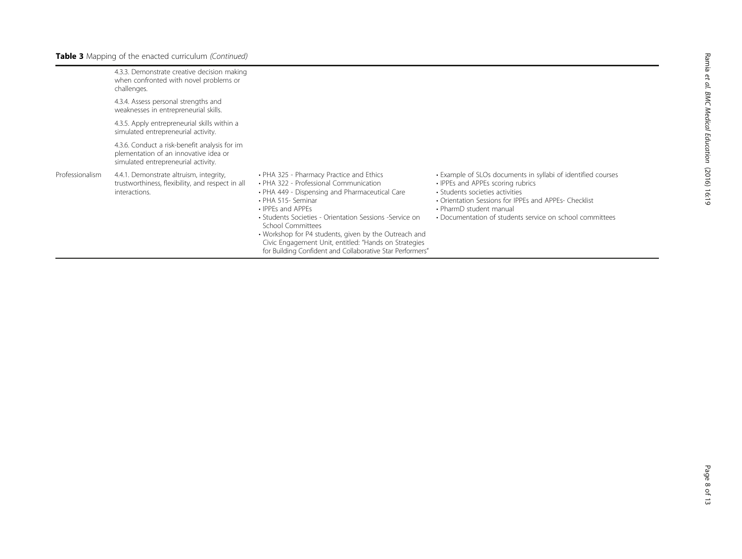|                 | 4.3.3. Demonstrate creative decision making<br>when confronted with novel problems or<br>challenges.                          |                                                                                                                                                                                                                                                                                                                                                                                                                                                       |                                                                                                                                                                                                                                                                                      |
|-----------------|-------------------------------------------------------------------------------------------------------------------------------|-------------------------------------------------------------------------------------------------------------------------------------------------------------------------------------------------------------------------------------------------------------------------------------------------------------------------------------------------------------------------------------------------------------------------------------------------------|--------------------------------------------------------------------------------------------------------------------------------------------------------------------------------------------------------------------------------------------------------------------------------------|
|                 | 4.3.4. Assess personal strengths and<br>weaknesses in entrepreneurial skills.                                                 |                                                                                                                                                                                                                                                                                                                                                                                                                                                       |                                                                                                                                                                                                                                                                                      |
|                 | 4.3.5. Apply entrepreneurial skills within a<br>simulated entrepreneurial activity.                                           |                                                                                                                                                                                                                                                                                                                                                                                                                                                       |                                                                                                                                                                                                                                                                                      |
|                 | 4.3.6. Conduct a risk-benefit analysis for im<br>plementation of an innovative idea or<br>simulated entrepreneurial activity. |                                                                                                                                                                                                                                                                                                                                                                                                                                                       |                                                                                                                                                                                                                                                                                      |
| Professionalism | 4.4.1. Demonstrate altruism, integrity,<br>trustworthiness, flexibility, and respect in all<br>interactions.                  | • PHA 325 - Pharmacy Practice and Ethics<br>• PHA 322 - Professional Communication<br>• PHA 449 - Dispensing and Pharmaceutical Care<br>• PHA 515- Seminar<br>• IPPEs and APPEs<br>• Students Societies - Orientation Sessions -Service on<br><b>School Committees</b><br>• Workshop for P4 students, given by the Outreach and<br>Civic Engagement Unit, entitled: "Hands on Strategies<br>for Building Confident and Collaborative Star Performers" | • Example of SLOs documents in syllabi of identified courses<br>• IPPEs and APPEs scoring rubrics<br>· Students societies activities<br>• Orientation Sessions for IPPEs and APPEs- Checklist<br>• PharmD student manual<br>• Documentation of students service on school committees |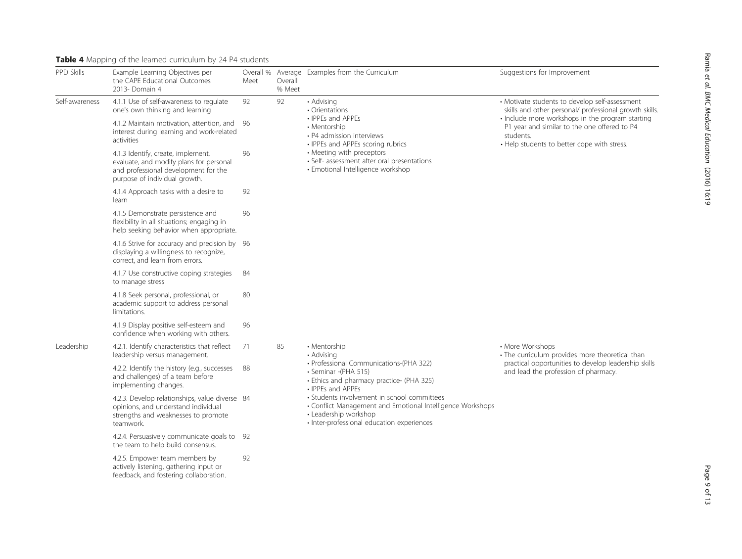Ramia

et al. BMC Medical

Education

(2016) 16:19

# <span id="page-8-0"></span>Table 4 Mapping of the learned curriculum by 24 P4 students

| PPD Skills     | Example Learning Objectives per<br>the CAPE Educational Outcomes<br>2013- Domain 4                                                                     | Meet     | Overall<br>% Meet | Overall % Average Examples from the Curriculum                                                                                                                                                                                                                                                                         | Suggestions for Improvement                                                                                                                                  |  |  |
|----------------|--------------------------------------------------------------------------------------------------------------------------------------------------------|----------|-------------------|------------------------------------------------------------------------------------------------------------------------------------------------------------------------------------------------------------------------------------------------------------------------------------------------------------------------|--------------------------------------------------------------------------------------------------------------------------------------------------------------|--|--|
| Self-awareness | 4.1.1 Use of self-awareness to regulate<br>one's own thinking and learning                                                                             | 92       | 92                | • Advising<br>• Orientations                                                                                                                                                                                                                                                                                           | • Motivate students to develop self-assessment<br>skills and other personal/ professional growth skills.                                                     |  |  |
|                | 4.1.2 Maintain motivation, attention, and<br>interest during learning and work-related<br>activities                                                   | 96       |                   | • IPPEs and APPEs<br>• Mentorship<br>• P4 admission interviews<br>• IPPEs and APPEs scoring rubrics                                                                                                                                                                                                                    | · Include more workshops in the program starting<br>P1 year and similar to the one offered to P4<br>students.<br>• Help students to better cope with stress. |  |  |
|                | 4.1.3 Identify, create, implement,<br>evaluate, and modify plans for personal<br>and professional development for the<br>purpose of individual growth. | 96       |                   | • Meeting with preceptors<br>· Self- assessment after oral presentations<br>· Emotional Intelligence workshop                                                                                                                                                                                                          |                                                                                                                                                              |  |  |
|                | 4.1.4 Approach tasks with a desire to<br>learn                                                                                                         | 92       |                   |                                                                                                                                                                                                                                                                                                                        |                                                                                                                                                              |  |  |
|                | 4.1.5 Demonstrate persistence and<br>flexibility in all situations; engaging in<br>help seeking behavior when appropriate.                             | 96       |                   |                                                                                                                                                                                                                                                                                                                        |                                                                                                                                                              |  |  |
|                | 4.1.6 Strive for accuracy and precision by 96<br>displaying a willingness to recognize,<br>correct, and learn from errors.                             |          |                   |                                                                                                                                                                                                                                                                                                                        |                                                                                                                                                              |  |  |
|                | 4.1.7 Use constructive coping strategies<br>to manage stress                                                                                           | 84       |                   |                                                                                                                                                                                                                                                                                                                        |                                                                                                                                                              |  |  |
|                | 4.1.8 Seek personal, professional, or<br>academic support to address personal<br>limitations.                                                          | 80       |                   |                                                                                                                                                                                                                                                                                                                        |                                                                                                                                                              |  |  |
|                | 4.1.9 Display positive self-esteem and<br>confidence when working with others.                                                                         | 96       |                   |                                                                                                                                                                                                                                                                                                                        |                                                                                                                                                              |  |  |
| Leadership     | 4.2.1. Identify characteristics that reflect<br>leadership versus management.                                                                          | 71<br>85 |                   | • Mentorship<br>• Advisina                                                                                                                                                                                                                                                                                             | • More Workshops<br>• The curriculum provides more theoretical than                                                                                          |  |  |
|                | 4.2.2. Identify the history (e.g., successes<br>and challenges) of a team before<br>implementing changes.                                              | 88       |                   | • Professional Communications-(PHA 322)<br>· Seminar - (PHA 515)<br>• Ethics and pharmacy practice- (PHA 325)<br>• IPPEs and APPEs<br>• Students involvement in school committees<br>• Conflict Management and Emotional Intelligence Workshops<br>• Leadership workshop<br>· Inter-professional education experiences | practical opportunities to develop leadership skills<br>and lead the profession of pharmacy.                                                                 |  |  |
|                | 4.2.3. Develop relationships, value diverse 84<br>opinions, and understand individual<br>strengths and weaknesses to promote<br>teamwork.              |          |                   |                                                                                                                                                                                                                                                                                                                        |                                                                                                                                                              |  |  |
|                | 4.2.4. Persuasively communicate goals to<br>the team to help build consensus.                                                                          | 92       |                   |                                                                                                                                                                                                                                                                                                                        |                                                                                                                                                              |  |  |
|                | 4.2.5. Empower team members by<br>actively listening, gathering input or<br>feedback, and fostering collaboration.                                     | 92       |                   |                                                                                                                                                                                                                                                                                                                        |                                                                                                                                                              |  |  |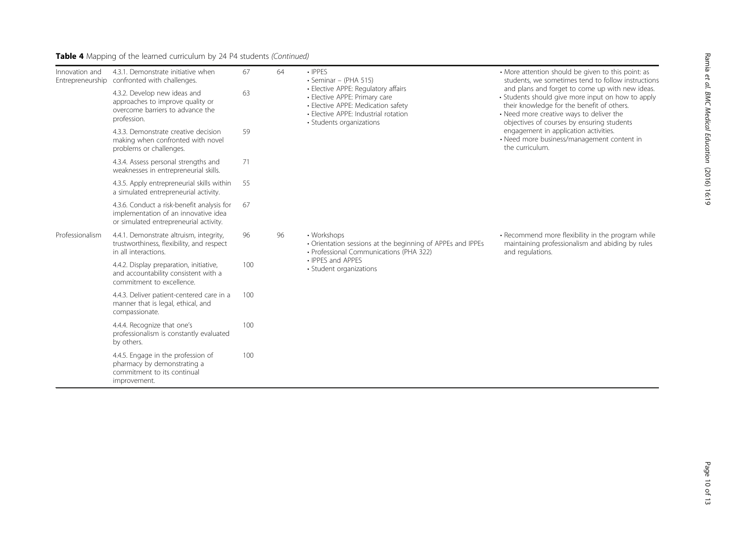# Table 4 Mapping of the learned curriculum by 24 P4 students (Continued)

| Innovation and<br>Entrepreneurship | 4.3.1. Demonstrate initiative when<br>confronted with challenges.                                                            | 67  | 64 | $\cdot$ IPPES<br>$\cdot$ Seminar - (PHA 515)                                                                                                                                   | • More attention should be given to this point: as<br>students, we sometimes tend to follow instructions                                                                                                                                                                                                                                               |  |  |  |
|------------------------------------|------------------------------------------------------------------------------------------------------------------------------|-----|----|--------------------------------------------------------------------------------------------------------------------------------------------------------------------------------|--------------------------------------------------------------------------------------------------------------------------------------------------------------------------------------------------------------------------------------------------------------------------------------------------------------------------------------------------------|--|--|--|
|                                    | 4.3.2. Develop new ideas and<br>approaches to improve quality or<br>overcome barriers to advance the<br>profession.          | 63  |    | • Elective APPE: Regulatory affairs<br>· Elective APPE: Primary care<br>· Elective APPE: Medication safety<br>• Elective APPE: Industrial rotation<br>• Students organizations | and plans and forget to come up with new ideas.<br>• Students should give more input on how to apply<br>their knowledge for the benefit of others.<br>• Need more creative ways to deliver the<br>objectives of courses by ensuring students<br>engagement in application activities.<br>• Need more business/management content in<br>the curriculum. |  |  |  |
|                                    | 4.3.3. Demonstrate creative decision<br>making when confronted with novel<br>problems or challenges.                         | 59  |    |                                                                                                                                                                                |                                                                                                                                                                                                                                                                                                                                                        |  |  |  |
|                                    | 4.3.4. Assess personal strengths and<br>weaknesses in entrepreneurial skills.                                                | 71  |    |                                                                                                                                                                                |                                                                                                                                                                                                                                                                                                                                                        |  |  |  |
|                                    | 4.3.5. Apply entrepreneurial skills within<br>a simulated entrepreneurial activity.                                          | 55  |    |                                                                                                                                                                                |                                                                                                                                                                                                                                                                                                                                                        |  |  |  |
|                                    | 4.3.6. Conduct a risk-benefit analysis for<br>implementation of an innovative idea<br>or simulated entrepreneurial activity. | 67  |    |                                                                                                                                                                                |                                                                                                                                                                                                                                                                                                                                                        |  |  |  |
| Professionalism                    | 4.4.1. Demonstrate altruism, integrity,<br>trustworthiness, flexibility, and respect<br>in all interactions.                 | 96  | 96 | • Workshops<br>• Orientation sessions at the beginning of APPEs and IPPEs<br>• Professional Communications (PHA 322)<br>• IPPES and APPES<br>· Student organizations           | • Recommend more flexibility in the program while<br>maintaining professionalism and abiding by rules<br>and regulations.                                                                                                                                                                                                                              |  |  |  |
|                                    | 4.4.2. Display preparation, initiative,<br>and accountability consistent with a<br>commitment to excellence.                 | 100 |    |                                                                                                                                                                                |                                                                                                                                                                                                                                                                                                                                                        |  |  |  |
|                                    | 4.4.3. Deliver patient-centered care in a<br>manner that is legal, ethical, and<br>compassionate.                            | 100 |    |                                                                                                                                                                                |                                                                                                                                                                                                                                                                                                                                                        |  |  |  |
|                                    | 4.4.4. Recognize that one's<br>professionalism is constantly evaluated<br>by others.                                         | 100 |    |                                                                                                                                                                                |                                                                                                                                                                                                                                                                                                                                                        |  |  |  |
|                                    | 4.4.5. Engage in the profession of<br>pharmacy by demonstrating a<br>commitment to its continual<br>improvement.             | 100 |    |                                                                                                                                                                                |                                                                                                                                                                                                                                                                                                                                                        |  |  |  |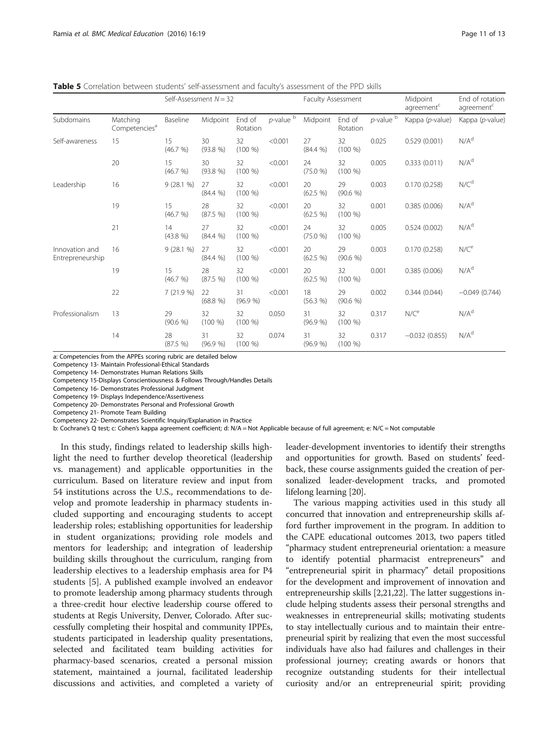<span id="page-10-0"></span>Table 5 Correlation between students' self-assessment and faculty's assessment of the PPD skills

|                                    |                                       | Self-Assessment $N = 32$ |                   |                    |                | Faculty Assessment |                    |                | Midpoint<br>agreement <sup>c</sup> | End of rotation<br>agreement <sup>c</sup> |
|------------------------------------|---------------------------------------|--------------------------|-------------------|--------------------|----------------|--------------------|--------------------|----------------|------------------------------------|-------------------------------------------|
| Subdomains                         | Matching<br>Competencies <sup>a</sup> | Baseline                 | Midpoint          | End of<br>Rotation | $p$ -value $b$ | Midpoint           | End of<br>Rotation | $p$ -value $b$ | Kappa (p-value)                    | Kappa (p-value)                           |
| Self-awareness                     | 15                                    | 15<br>(46.7 %)           | 30<br>(93.8 %)    | 32<br>$(100\%)$    | < 0.001        | 27<br>(84.4 %)     | 32<br>(100 %)      | 0.025          | 0.529(0.001)                       | N/A <sup>d</sup>                          |
|                                    | 20                                    | 15<br>(46.7 %)           | 30<br>(93.8 %)    | 32<br>$(100\%)$    | < 0.001        | 24<br>(75.0 %)     | 32<br>$(100\%)$    | 0.005          | 0.333(0.011)                       | N/A <sup>d</sup>                          |
| Leadership                         | 16                                    | 9(28.1%                  | 27<br>$(84.4\% )$ | 32<br>$(100\%)$    | < 0.001        | 20<br>(62.5 %)     | 29<br>(90.6 %)     | 0.003          | 0.170(0.258)                       | N/C <sup>d</sup>                          |
|                                    | 19                                    | 15<br>(46.7 %)           | 28<br>(87.5 %)    | 32<br>$(100\%)$    | < 0.001        | 20<br>(62.5 %)     | 32<br>(100 %)      | 0.001          | 0.385(0.006)                       | N/A <sup>d</sup>                          |
|                                    | 21                                    | 14<br>(43.8 %)           | 27<br>(84.4 %)    | 32<br>$(100\%)$    | < 0.001        | 24<br>(75.0 %)     | 32<br>$(100\%)$    | 0.005          | 0.524(0.002)                       | N/A <sup>d</sup>                          |
| Innovation and<br>Entrepreneurship | 16                                    | 9(28.1%                  | 27<br>(84.4 %)    | 32<br>(100 %)      | < 0.001        | 20<br>(62.5 %)     | 29<br>(90.6 %)     | 0.003          | 0.170(0.258)                       | N/C <sup>e</sup>                          |
|                                    | 19                                    | 15<br>(46.7 %)           | 28<br>(87.5 %)    | 32<br>$(100\%)$    | < 0.001        | 20<br>(62.5 %)     | 32<br>(100 %)      | 0.001          | 0.385(0.006)                       | N/A <sup>d</sup>                          |
|                                    | 22                                    | 7(21.9%)                 | 22<br>$(68.8\%)$  | 31<br>(96.9 %)     | < 0.001        | 18<br>(56.3 %)     | 29<br>(90.6 %)     | 0.002          | 0.344(0.044)                       | $-0.049(0.744)$                           |
| Professionalism                    | 13                                    | 29<br>(90.6 %)           | 32<br>$(100\%)$   | 32<br>$(100\%)$    | 0.050          | 31<br>(96.9 %)     | 32<br>(100 %)      | 0.317          | N/C <sup>e</sup>                   | N/A <sup>d</sup>                          |
|                                    | 14                                    | 28<br>(87.5 %)           | 31<br>(96.9 %)    | 32<br>$(100\%)$    | 0.074          | 31<br>(96.9 %)     | 32<br>(100 %)      | 0.317          | $-0.032(0.855)$                    | N/A <sup>d</sup>                          |

a: Competencies from the APPEs scoring rubric are detailed below

Competency 13- Maintain Professional-Ethical Standards

Competency 14- Demonstrates Human Relations Skills

Competency 15-Displays Conscientiousness & Follows Through/Handles Details

Competency 16- Demonstrates Professional Judgment

Competency 19- Displays Independence/Assertiveness

Competency 20- Demonstrates Personal and Professional Growth

Competency 21- Promote Team Building

Competency 22- Demonstrates Scientific Inquiry/Explanation in Practice

b: Cochrane's Q test; c: Cohen's kappa agreement coefficient; d: N/A = Not Applicable because of full agreement; e: N/C = Not computable

In this study, findings related to leadership skills highlight the need to further develop theoretical (leadership vs. management) and applicable opportunities in the curriculum. Based on literature review and input from 54 institutions across the U.S., recommendations to develop and promote leadership in pharmacy students included supporting and encouraging students to accept leadership roles; establishing opportunities for leadership in student organizations; providing role models and mentors for leadership; and integration of leadership building skills throughout the curriculum, ranging from leadership electives to a leadership emphasis area for P4 students [[5\]](#page-12-0). A published example involved an endeavor to promote leadership among pharmacy students through a three-credit hour elective leadership course offered to students at Regis University, Denver, Colorado. After successfully completing their hospital and community IPPEs, students participated in leadership quality presentations, selected and facilitated team building activities for pharmacy-based scenarios, created a personal mission statement, maintained a journal, facilitated leadership discussions and activities, and completed a variety of leader-development inventories to identify their strengths and opportunities for growth. Based on students' feedback, these course assignments guided the creation of personalized leader-development tracks, and promoted lifelong learning [[20\]](#page-12-0).

The various mapping activities used in this study all concurred that innovation and entrepreneurship skills afford further improvement in the program. In addition to the CAPE educational outcomes 2013, two papers titled "pharmacy student entrepreneurial orientation: a measure to identify potential pharmacist entrepreneurs" and "entrepreneurial spirit in pharmacy" detail propositions for the development and improvement of innovation and entrepreneurship skills [\[2,21,22](#page-12-0)]. The latter suggestions include helping students assess their personal strengths and weaknesses in entrepreneurial skills; motivating students to stay intellectually curious and to maintain their entrepreneurial spirit by realizing that even the most successful individuals have also had failures and challenges in their professional journey; creating awards or honors that recognize outstanding students for their intellectual curiosity and/or an entrepreneurial spirit; providing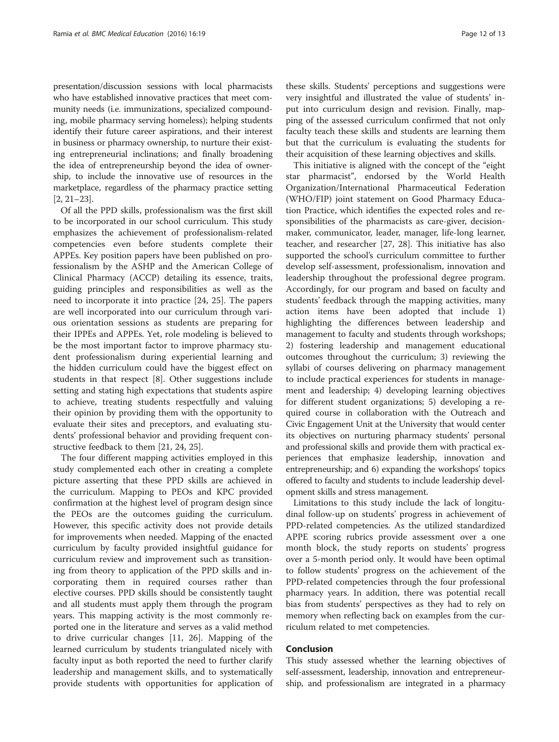presentation/discussion sessions with local pharmacists who have established innovative practices that meet community needs (i.e. immunizations, specialized compounding, mobile pharmacy serving homeless); helping students identify their future career aspirations, and their interest in business or pharmacy ownership, to nurture their existing entrepreneurial inclinations; and finally broadening the idea of entrepreneurship beyond the idea of ownership, to include the innovative use of resources in the marketplace, regardless of the pharmacy practice setting [[2, 21](#page-12-0)–[23](#page-12-0)].

Of all the PPD skills, professionalism was the first skill to be incorporated in our school curriculum. This study emphasizes the achievement of professionalism-related competencies even before students complete their APPEs. Key position papers have been published on professionalism by the ASHP and the American College of Clinical Pharmacy (ACCP) detailing its essence, traits, guiding principles and responsibilities as well as the need to incorporate it into practice [\[24, 25](#page-12-0)]. The papers are well incorporated into our curriculum through various orientation sessions as students are preparing for their IPPEs and APPEs. Yet, role modeling is believed to be the most important factor to improve pharmacy student professionalism during experiential learning and the hidden curriculum could have the biggest effect on students in that respect [[8\]](#page-12-0). Other suggestions include setting and stating high expectations that students aspire to achieve, treating students respectfully and valuing their opinion by providing them with the opportunity to evaluate their sites and preceptors, and evaluating students' professional behavior and providing frequent constructive feedback to them [[21](#page-12-0), [24](#page-12-0), [25](#page-12-0)].

The four different mapping activities employed in this study complemented each other in creating a complete picture asserting that these PPD skills are achieved in the curriculum. Mapping to PEOs and KPC provided confirmation at the highest level of program design since the PEOs are the outcomes guiding the curriculum. However, this specific activity does not provide details for improvements when needed. Mapping of the enacted curriculum by faculty provided insightful guidance for curriculum review and improvement such as transitioning from theory to application of the PPD skills and incorporating them in required courses rather than elective courses. PPD skills should be consistently taught and all students must apply them through the program years. This mapping activity is the most commonly reported one in the literature and serves as a valid method to drive curricular changes [\[11](#page-12-0), [26\]](#page-12-0). Mapping of the learned curriculum by students triangulated nicely with faculty input as both reported the need to further clarify leadership and management skills, and to systematically provide students with opportunities for application of

these skills. Students' perceptions and suggestions were very insightful and illustrated the value of students' input into curriculum design and revision. Finally, mapping of the assessed curriculum confirmed that not only faculty teach these skills and students are learning them but that the curriculum is evaluating the students for their acquisition of these learning objectives and skills.

This initiative is aligned with the concept of the "eight star pharmacist", endorsed by the World Health Organization/International Pharmaceutical Federation (WHO/FIP) joint statement on Good Pharmacy Education Practice, which identifies the expected roles and responsibilities of the pharmacists as care-giver, decisionmaker, communicator, leader, manager, life-long learner, teacher, and researcher [\[27](#page-12-0), [28](#page-12-0)]. This initiative has also supported the school's curriculum committee to further develop self-assessment, professionalism, innovation and leadership throughout the professional degree program. Accordingly, for our program and based on faculty and students' feedback through the mapping activities, many action items have been adopted that include 1) highlighting the differences between leadership and management to faculty and students through workshops; 2) fostering leadership and management educational outcomes throughout the curriculum; 3) reviewing the syllabi of courses delivering on pharmacy management to include practical experiences for students in management and leadership; 4) developing learning objectives for different student organizations; 5) developing a required course in collaboration with the Outreach and Civic Engagement Unit at the University that would center its objectives on nurturing pharmacy students' personal and professional skills and provide them with practical experiences that emphasize leadership, innovation and entrepreneurship; and 6) expanding the workshops' topics offered to faculty and students to include leadership development skills and stress management.

Limitations to this study include the lack of longitudinal follow-up on students' progress in achievement of PPD-related competencies. As the utilized standardized APPE scoring rubrics provide assessment over a one month block, the study reports on students' progress over a 5-month period only. It would have been optimal to follow students' progress on the achievement of the PPD-related competencies through the four professional pharmacy years. In addition, there was potential recall bias from students' perspectives as they had to rely on memory when reflecting back on examples from the curriculum related to met competencies.

## Conclusion

This study assessed whether the learning objectives of self-assessment, leadership, innovation and entrepreneurship, and professionalism are integrated in a pharmacy